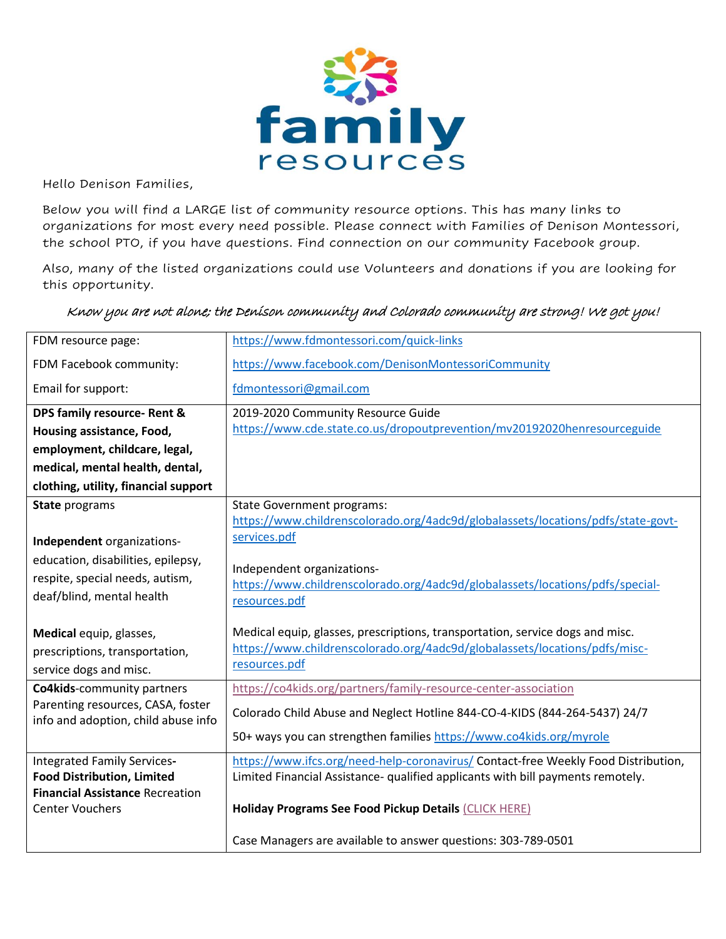

Hello Denison Families,

Below you will find a LARGE list of community resource options. This has many links to organizations for most every need possible. Please connect with Families of Denison Montessori, the school PTO, if you have questions. Find connection on our community Facebook group.

Also, many of the listed organizations could use Volunteers and donations if you are looking for this opportunity.

## Know you are not alone; the Denison community and Colorado community are strong! We got you!

| FDM resource page:                                                                                         | https://www.fdmontessori.com/quick-links                                                                                                                              |
|------------------------------------------------------------------------------------------------------------|-----------------------------------------------------------------------------------------------------------------------------------------------------------------------|
| FDM Facebook community:                                                                                    | https://www.facebook.com/DenisonMontessoriCommunity                                                                                                                   |
| Email for support:                                                                                         | fdmontessori@gmail.com                                                                                                                                                |
| DPS family resource- Rent &                                                                                | 2019-2020 Community Resource Guide                                                                                                                                    |
| Housing assistance, Food,                                                                                  | https://www.cde.state.co.us/dropoutprevention/mv20192020henresourceguide                                                                                              |
| employment, childcare, legal,                                                                              |                                                                                                                                                                       |
| medical, mental health, dental,                                                                            |                                                                                                                                                                       |
| clothing, utility, financial support                                                                       |                                                                                                                                                                       |
| <b>State programs</b>                                                                                      | <b>State Government programs:</b><br>https://www.childrenscolorado.org/4adc9d/globalassets/locations/pdfs/state-govt-                                                 |
| Independent organizations-                                                                                 | services.pdf                                                                                                                                                          |
| education, disabilities, epilepsy,<br>respite, special needs, autism,<br>deaf/blind, mental health         | Independent organizations-<br>https://www.childrenscolorado.org/4adc9d/globalassets/locations/pdfs/special-<br>resources.pdf                                          |
| Medical equip, glasses,                                                                                    | Medical equip, glasses, prescriptions, transportation, service dogs and misc.                                                                                         |
| prescriptions, transportation,                                                                             | https://www.childrenscolorado.org/4adc9d/globalassets/locations/pdfs/misc-                                                                                            |
| service dogs and misc.                                                                                     | resources.pdf                                                                                                                                                         |
| <b>Co4kids-community partners</b>                                                                          | https://co4kids.org/partners/family-resource-center-association                                                                                                       |
| Parenting resources, CASA, foster<br>info and adoption, child abuse info                                   | Colorado Child Abuse and Neglect Hotline 844-CO-4-KIDS (844-264-5437) 24/7                                                                                            |
|                                                                                                            | 50+ ways you can strengthen families https://www.co4kids.org/myrole                                                                                                   |
| Integrated Family Services-<br><b>Food Distribution, Limited</b><br><b>Financial Assistance Recreation</b> | https://www.ifcs.org/need-help-coronavirus/ Contact-free Weekly Food Distribution,<br>Limited Financial Assistance- qualified applicants with bill payments remotely. |
| <b>Center Vouchers</b>                                                                                     | Holiday Programs See Food Pickup Details (CLICK HERE)                                                                                                                 |
|                                                                                                            | Case Managers are available to answer questions: 303-789-0501                                                                                                         |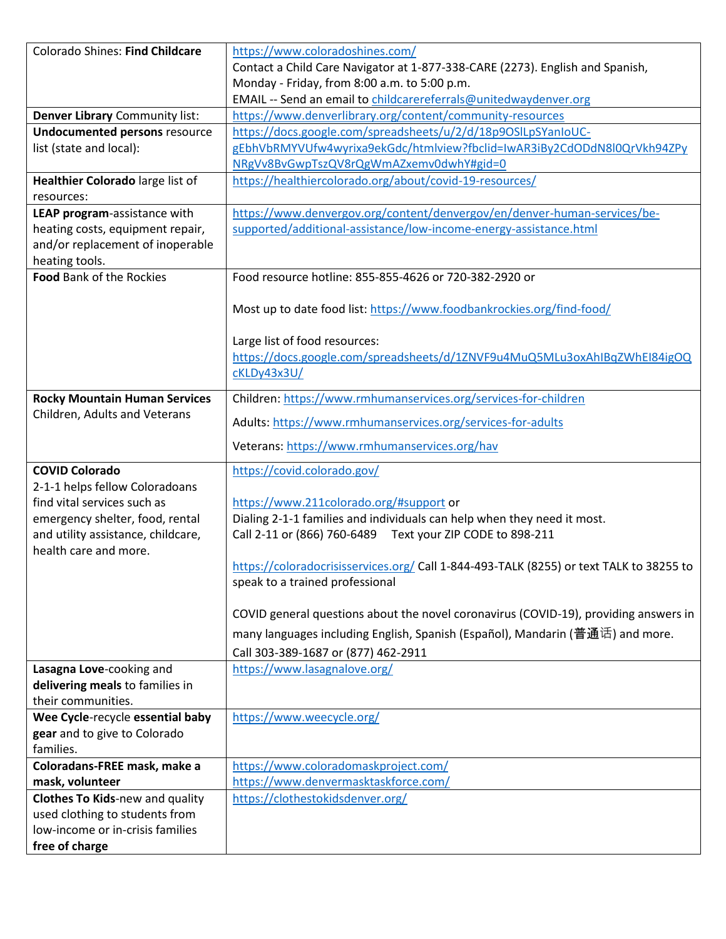| <b>Colorado Shines: Find Childcare</b> | https://www.coloradoshines.com/                                                         |
|----------------------------------------|-----------------------------------------------------------------------------------------|
|                                        | Contact a Child Care Navigator at 1-877-338-CARE (2273). English and Spanish,           |
|                                        | Monday - Friday, from 8:00 a.m. to 5:00 p.m.                                            |
|                                        | EMAIL -- Send an email to childcarereferrals@unitedwaydenver.org                        |
| Denver Library Community list:         | https://www.denverlibrary.org/content/community-resources                               |
| <b>Undocumented persons resource</b>   | https://docs.google.com/spreadsheets/u/2/d/18p9OSILpSYanIoUC-                           |
| list (state and local):                | gEbhVbRMYVUfw4wyrixa9ekGdc/htmlview?fbclid=IwAR3iBy2CdODdN8l0QrVkh94ZPy                 |
|                                        | NRgVv8BvGwpTszQV8rQgWmAZxemv0dwhY#gid=0                                                 |
| Healthier Colorado large list of       | https://healthiercolorado.org/about/covid-19-resources/                                 |
| resources:                             |                                                                                         |
| LEAP program-assistance with           | https://www.denvergov.org/content/denvergov/en/denver-human-services/be-                |
| heating costs, equipment repair,       | supported/additional-assistance/low-income-energy-assistance.html                       |
| and/or replacement of inoperable       |                                                                                         |
| heating tools.                         |                                                                                         |
| Food Bank of the Rockies               | Food resource hotline: 855-855-4626 or 720-382-2920 or                                  |
|                                        |                                                                                         |
|                                        | Most up to date food list: https://www.foodbankrockies.org/find-food/                   |
|                                        | Large list of food resources:                                                           |
|                                        | https://docs.google.com/spreadsheets/d/1ZNVF9u4MuQ5MLu3oxAhIBqZWhEI84igOQ               |
|                                        | cKLDy43x3U/                                                                             |
|                                        |                                                                                         |
| <b>Rocky Mountain Human Services</b>   | Children: https://www.rmhumanservices.org/services-for-children                         |
| Children, Adults and Veterans          | Adults: https://www.rmhumanservices.org/services-for-adults                             |
|                                        | Veterans: https://www.rmhumanservices.org/hav                                           |
| <b>COVID Colorado</b>                  | https://covid.colorado.gov/                                                             |
| 2-1-1 helps fellow Coloradoans         |                                                                                         |
| find vital services such as            | https://www.211colorado.org/#support or                                                 |
| emergency shelter, food, rental        | Dialing 2-1-1 families and individuals can help when they need it most.                 |
| and utility assistance, childcare,     | Call 2-11 or (866) 760-6489    Text your ZIP CODE to 898-211                            |
| health care and more.                  |                                                                                         |
|                                        | https://coloradocrisisservices.org/ Call 1-844-493-TALK (8255) or text TALK to 38255 to |
|                                        | speak to a trained professional                                                         |
|                                        | COVID general questions about the novel coronavirus (COVID-19), providing answers in    |
|                                        | many languages including English, Spanish (Español), Mandarin (普通话) and more.           |
|                                        | Call 303-389-1687 or (877) 462-2911                                                     |
| Lasagna Love-cooking and               | https://www.lasagnalove.org/                                                            |
| delivering meals to families in        |                                                                                         |
| their communities.                     |                                                                                         |
| Wee Cycle-recycle essential baby       | https://www.weecycle.org/                                                               |
| gear and to give to Colorado           |                                                                                         |
| families.                              |                                                                                         |
| Coloradans-FREE mask, make a           | https://www.coloradomaskproject.com/                                                    |
| mask, volunteer                        | https://www.denvermasktaskforce.com/                                                    |
| <b>Clothes To Kids-new and quality</b> | https://clothestokidsdenver.org/                                                        |
| used clothing to students from         |                                                                                         |
| low-income or in-crisis families       |                                                                                         |
| free of charge                         |                                                                                         |